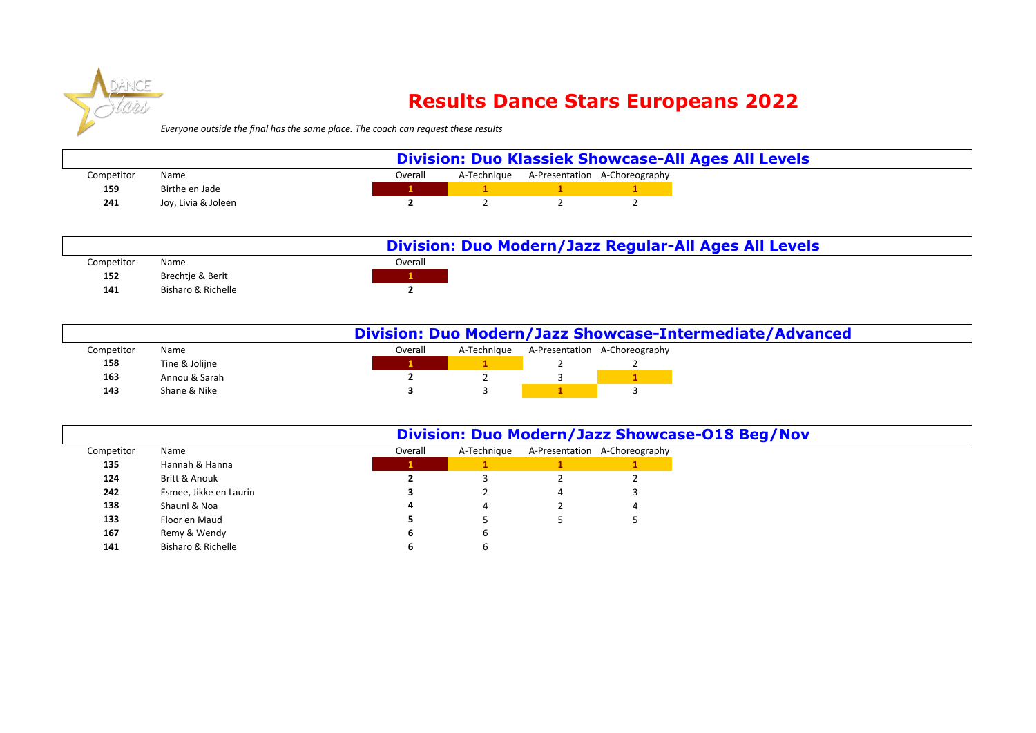

## **Results Dance Stars Europeans 2022**

*Everyone outside the final has the same place. The coach can request these results* 

|            |                     |  |         |  | <b>Division: Duo Klassiek Showcase-All Ages All Levels</b> |
|------------|---------------------|--|---------|--|------------------------------------------------------------|
| Competitor | Name                |  | Overall |  | A-Technique A-Presentation A-Choreography                  |
| 159        | Birthe en Jade      |  |         |  |                                                            |
| 241        | Joy, Livia & Joleen |  |         |  |                                                            |

|            |                    | Division: Duo Modern/Jazz Regular-All Ages All Levels |
|------------|--------------------|-------------------------------------------------------|
| Competitor | Name               | Overall                                               |
| 152        | Brechtie & Berit   |                                                       |
| 141        | Bisharo & Richelle |                                                       |

|            |                |         |             |                               | Division: Duo Modern/Jazz Showcase-Intermediate/Advanced |
|------------|----------------|---------|-------------|-------------------------------|----------------------------------------------------------|
| Competitor | Name           | Overall | A-Technique | A-Presentation A-Choreography |                                                          |
| 158        | Tine & Jolijne |         |             |                               |                                                          |
| 163        | Annou & Sarah  |         |             |                               |                                                          |
| 143        | Shane & Nike   |         |             |                               |                                                          |

|            |                        |         |             |   |                               | Division: Duo Modern/Jazz Showcase-018 Beg/Nov |
|------------|------------------------|---------|-------------|---|-------------------------------|------------------------------------------------|
| Competitor | Name                   | Overall | A-Technique |   | A-Presentation A-Choreography |                                                |
| 135        | Hannah & Hanna         |         |             |   |                               |                                                |
| 124        | Britt & Anouk          |         |             |   |                               |                                                |
| 242        | Esmee, Jikke en Laurin |         |             | 4 |                               |                                                |
| 138        | Shauni & Noa           | 4       |             |   |                               |                                                |
| 133        | Floor en Maud          |         |             |   |                               |                                                |
| 167        | Remy & Wendy           | O       | ь           |   |                               |                                                |
| 141        | Bisharo & Richelle     |         |             |   |                               |                                                |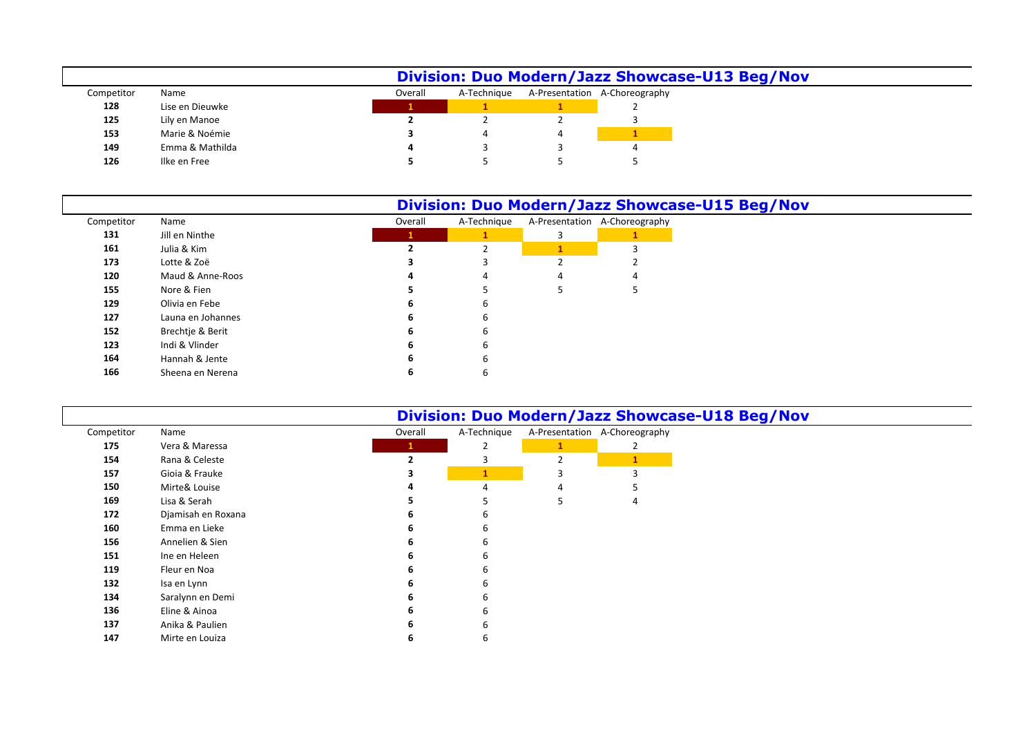|            |                 |         |             | Division: Duo Modern/Jazz Showcase-U13 Beg/Nov |
|------------|-----------------|---------|-------------|------------------------------------------------|
| Competitor | Name            | Overall | A-Technique | A-Presentation A-Choreography                  |
| 128        | Lise en Dieuwke |         |             |                                                |
| 125        | Lily en Manoe   |         |             |                                                |
| 153        | Marie & Noémie  |         |             |                                                |
| 149        | Emma & Mathilda |         |             |                                                |
| 126        | Ilke en Free    |         |             |                                                |

|            |                   |         |             |                               | Division: Duo Modern/Jazz Showcase-U15 Beg/Nov |
|------------|-------------------|---------|-------------|-------------------------------|------------------------------------------------|
| Competitor | Name              | Overall | A-Technique | A-Presentation A-Choreography |                                                |
| 131        | Jill en Ninthe    |         |             |                               |                                                |
| 161        | Julia & Kim       |         |             |                               |                                                |
| 173        | Lotte & Zoë       |         |             |                               |                                                |
| 120        | Maud & Anne-Roos  |         |             |                               |                                                |
| 155        | Nore & Fien       |         |             |                               |                                                |
| 129        | Olivia en Febe    | 6       | n           |                               |                                                |
| 127        | Launa en Johannes | 6.      | ь           |                               |                                                |
| 152        | Brechtje & Berit  | 6       | n           |                               |                                                |
| 123        | Indi & Vlinder    | 6       | b           |                               |                                                |
| 164        | Hannah & Jente    | 6       |             |                               |                                                |
| 166        | Sheena en Nerena  | 6       |             |                               |                                                |

|            |                    |         |              | <b>Division: Duo Modern/Jazz Showcase-U18 Beg/Nov</b> |
|------------|--------------------|---------|--------------|-------------------------------------------------------|
| Competitor | Name               | Overall | A-Technique  | A-Presentation A-Choreography                         |
| 175        | Vera & Maressa     |         |              |                                                       |
| 154        | Rana & Celeste     | э       |              |                                                       |
| 157        | Gioia & Frauke     |         | $\mathbf{1}$ |                                                       |
| 150        | Mirte& Louise      |         |              |                                                       |
| 169        | Lisa & Serah       |         |              | 4                                                     |
| 172        | Djamisah en Roxana |         |              |                                                       |
| 160        | Emma en Lieke      |         |              |                                                       |
| 156        | Annelien & Sien    |         |              |                                                       |
| 151        | Ine en Heleen      |         |              |                                                       |
| 119        | Fleur en Noa       |         |              |                                                       |
| 132        | Isa en Lynn        |         |              |                                                       |
| 134        | Saralynn en Demi   |         |              |                                                       |
| 136        | Eline & Ainoa      |         |              |                                                       |
| 137        | Anika & Paulien    |         |              |                                                       |
| 147        | Mirte en Louiza    |         |              |                                                       |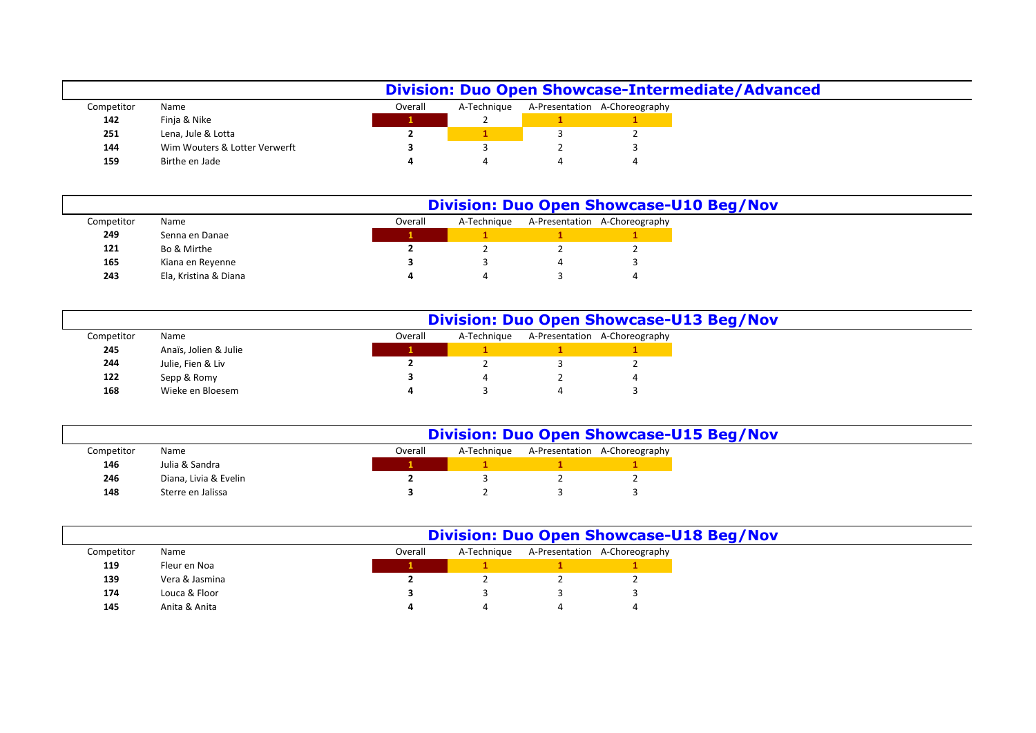|            |                               |         | <b>Division: Duo Open Showcase-Intermediate/Advanced</b> |                               |
|------------|-------------------------------|---------|----------------------------------------------------------|-------------------------------|
| Competitor | Name                          | Overall | A-Technique                                              | A-Presentation A-Choreography |
| 142        | Finja & Nike                  |         |                                                          |                               |
| 251        | Lena, Jule & Lotta            |         |                                                          |                               |
| 144        | Wim Wouters & Lotter Verwerft |         |                                                          |                               |
| 159        | Birthe en Jade                |         |                                                          |                               |

|            |                       |         |             |                               | <b>Division: Duo Open Showcase-U10 Beg/Nov</b> |
|------------|-----------------------|---------|-------------|-------------------------------|------------------------------------------------|
| Competitor | Name                  | Overall | A-Technique | A-Presentation A-Choreography |                                                |
| 249        | Senna en Danae        |         |             |                               |                                                |
| 121        | Bo & Mirthe           |         |             |                               |                                                |
| 165        | Kiana en Reyenne      |         |             |                               |                                                |
| 243        | Ela, Kristina & Diana |         | 4           |                               |                                                |

|            |                       |         |             | <b>Division: Duo Open Showcase-U13 Beg/Nov</b> |  |
|------------|-----------------------|---------|-------------|------------------------------------------------|--|
| Competitor | Name                  | Overall | A-Technique | A-Presentation A-Choreography                  |  |
| 245        | Anaïs, Jolien & Julie |         |             |                                                |  |
| 244        | Julie, Fien & Liv     |         |             |                                                |  |
| 122        | Sepp & Romy           |         |             |                                                |  |
| 168        | Wieke en Bloesem      |         |             |                                                |  |

|            |                       | <b>Division: Duo Open Showcase-U15 Beg/Nov</b> |             |  |                               |  |  |  |
|------------|-----------------------|------------------------------------------------|-------------|--|-------------------------------|--|--|--|
| Competitor | Name                  | Overall                                        | A-Technique |  | A-Presentation A-Choreography |  |  |  |
| 146        | Julia & Sandra        |                                                |             |  |                               |  |  |  |
| 246        | Diana, Livia & Evelin |                                                |             |  |                               |  |  |  |
| 148        | Sterre en Jalissa     |                                                |             |  |                               |  |  |  |

|            |                |         | <b>Division: Duo Open Showcase-U18 Beg/Nov</b> |                                           |
|------------|----------------|---------|------------------------------------------------|-------------------------------------------|
| Competitor | Name           | Overall |                                                | A-Technique A-Presentation A-Choreography |
| 119        | Fleur en Noa   |         |                                                |                                           |
| 139        | Vera & Jasmina |         |                                                |                                           |
| 174        | Louca & Floor  |         |                                                |                                           |
| 145        | Anita & Anita  |         |                                                |                                           |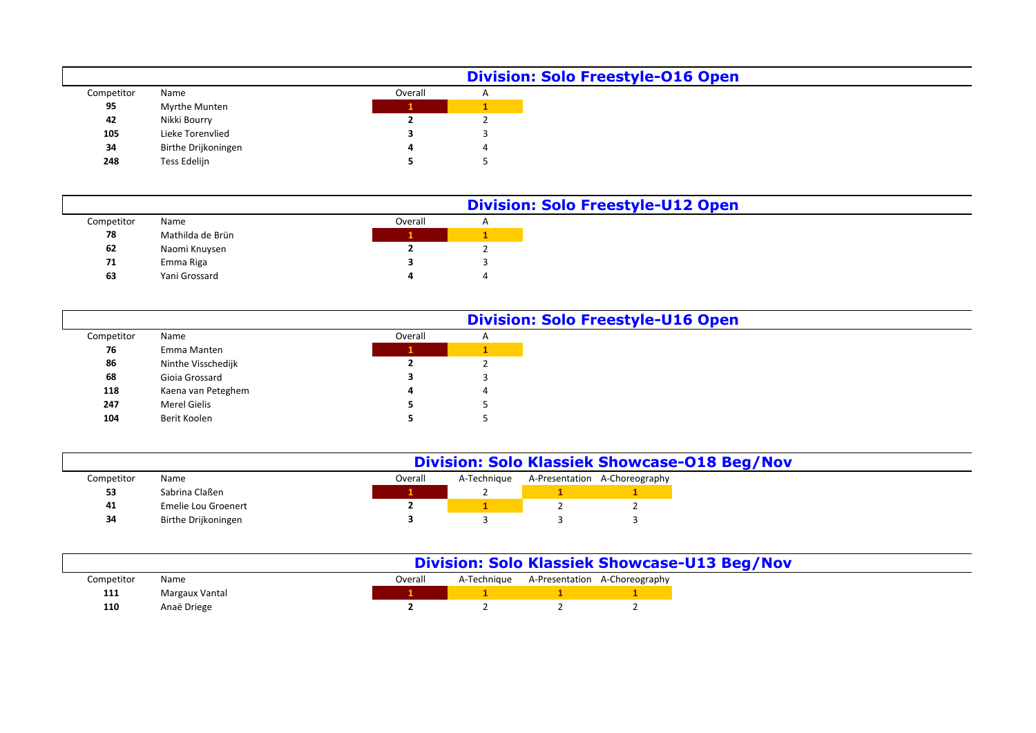|            |                     |         | <b>Division: Solo Freestyle-016 Open</b> |
|------------|---------------------|---------|------------------------------------------|
| Competitor | Name                | Overall | $\mathsf{A}$                             |
| 95         | Myrthe Munten       |         |                                          |
| 42         | Nikki Bourry        |         |                                          |
| 105        | Lieke Torenvlied    |         |                                          |
| 34         | Birthe Drijkoningen |         |                                          |
| 248        | Tess Edelijn        |         |                                          |

|            |                  |         |              | <b>Division: Solo Freestyle-U12 Open</b> |
|------------|------------------|---------|--------------|------------------------------------------|
| Competitor | Name             | Overall | $\mathsf{A}$ |                                          |
| 78         | Mathilda de Brün |         |              |                                          |
| 62         | Naomi Knuysen    |         |              |                                          |
| 71         | Emma Riga        |         |              |                                          |
| 63         | Yani Grossard    |         | $\epsilon$   |                                          |
|            |                  |         |              |                                          |

|            |                     |         | <b>Division: Solo Freestyle-U16 Open</b> |
|------------|---------------------|---------|------------------------------------------|
| Competitor | Name                | Overall | $\mathsf{A}$                             |
| 76         | Emma Manten         |         |                                          |
| 86         | Ninthe Visschedijk  |         |                                          |
| 68         | Gioia Grossard      |         |                                          |
| 118        | Kaena van Peteghem  | 4       |                                          |
| 247        | <b>Merel Gielis</b> |         |                                          |
| 104        | Berit Koolen        |         |                                          |

|            |                     | <b>Division: Solo Klassiek Showcase-018 Beg/Nov</b> |             |  |                               |  |  |  |
|------------|---------------------|-----------------------------------------------------|-------------|--|-------------------------------|--|--|--|
| Competitor | Name                | Overall                                             | A-Technique |  | A-Presentation A-Choreography |  |  |  |
| 53         | Sabrina Claßen      |                                                     |             |  |                               |  |  |  |
| 41         | Emelie Lou Groenert |                                                     |             |  |                               |  |  |  |
| 34         | Birthe Drijkoningen |                                                     |             |  |                               |  |  |  |

|            |                |         |  |                                           | <b>Division: Solo Klassiek Showcase-U13 Beg/Nov</b> |  |
|------------|----------------|---------|--|-------------------------------------------|-----------------------------------------------------|--|
| Competitor | Name           | Overall |  | A-Technique A-Presentation A-Choreography |                                                     |  |
| 111        | Margaux Vantal |         |  |                                           |                                                     |  |
| 110        | Anaë Driege    |         |  |                                           |                                                     |  |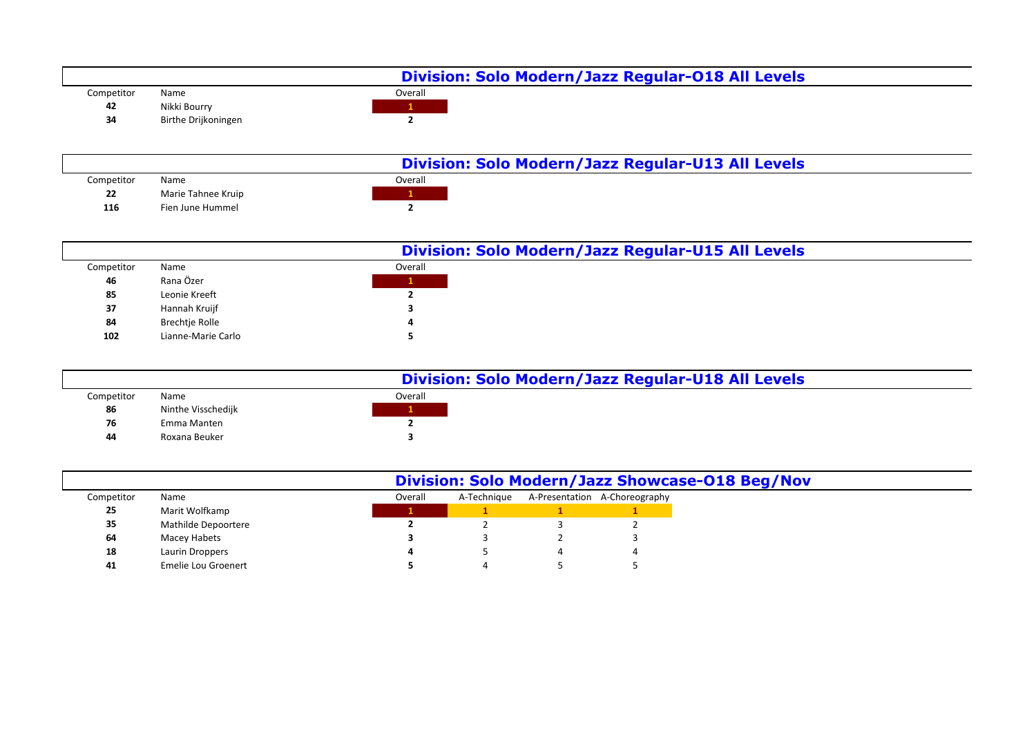

|            |                    |         | Division: Solo Modern/Jazz Regular-U15 All Levels |
|------------|--------------------|---------|---------------------------------------------------|
| Competitor | Name               | Overall |                                                   |
| 46         | Rana Özer          |         |                                                   |
| 85         | Leonie Kreeft      |         |                                                   |
| 37         | Hannah Kruijf      |         |                                                   |
| 84         | Brechtje Rolle     |         |                                                   |
| 102        | Lianne-Marie Carlo |         |                                                   |

|            |                    | Division: Solo Modern/Jazz Regular-U18 All Levels |  |
|------------|--------------------|---------------------------------------------------|--|
| Competitor | Name               | Overall                                           |  |
| 86         | Ninthe Visschedijk |                                                   |  |
| 76         | Emma Manten        |                                                   |  |
| 44         | Roxana Beuker      |                                                   |  |

|            |                     | Division: Solo Modern/Jazz Showcase-018 Beg/Nov |             |  |                               |  |  |
|------------|---------------------|-------------------------------------------------|-------------|--|-------------------------------|--|--|
| Competitor | Name                | Overall                                         | A-Technique |  | A-Presentation A-Choreography |  |  |
| 25         | Marit Wolfkamp      |                                                 |             |  |                               |  |  |
| 35         | Mathilde Depoortere |                                                 |             |  |                               |  |  |
| 64         | Macey Habets        |                                                 |             |  |                               |  |  |
| 18         | Laurin Droppers     |                                                 |             |  |                               |  |  |
| 41         | Emelie Lou Groenert |                                                 |             |  |                               |  |  |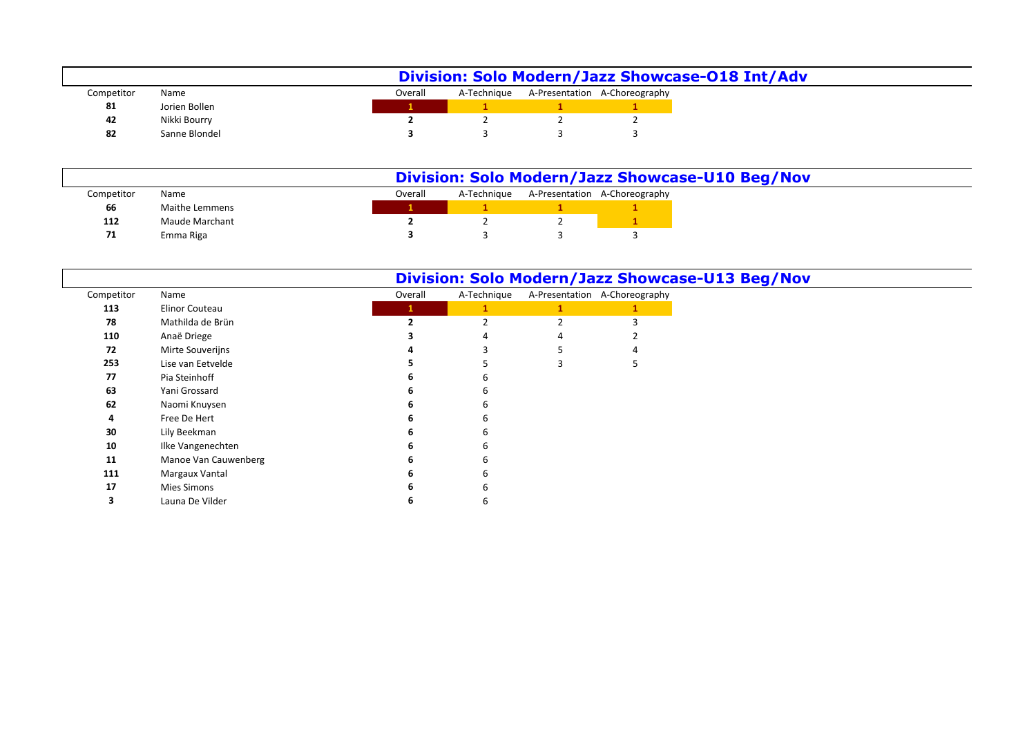|            |               |         |  | Division: Solo Modern/Jazz Showcase-018 Int/Adv |
|------------|---------------|---------|--|-------------------------------------------------|
| Competitor | Name          | Overall |  | A-Technique A-Presentation A-Choreography       |
| 81         | Jorien Bollen |         |  |                                                 |
| 42         | Nikki Bourry  |         |  |                                                 |
| 82         | Sanne Blondel |         |  |                                                 |

|            |                |         |             | Division: Solo Modern/Jazz Showcase-U10 Beg/Nov |
|------------|----------------|---------|-------------|-------------------------------------------------|
| Competitor | Name           | Overall | A-Techniaue | A-Presentation A-Choreography                   |
| 66         | Maithe Lemmens |         |             |                                                 |
| 112        | Maude Marchant |         |             |                                                 |
| 71         | Emma Riga      |         |             |                                                 |

|            |                      |         |                          |                               | Division: Solo Modern/Jazz Showcase-U13 Beg/Nov |
|------------|----------------------|---------|--------------------------|-------------------------------|-------------------------------------------------|
| Competitor | Name                 | Overall | A-Technique              | A-Presentation A-Choreography |                                                 |
| 113        | Elinor Couteau       | 1       | 1                        |                               |                                                 |
| 78         | Mathilda de Brün     |         | $\overline{\phantom{a}}$ |                               |                                                 |
| 110        | Anaë Driege          |         |                          |                               |                                                 |
| 72         | Mirte Souverijns     |         |                          |                               |                                                 |
| 253        | Lise van Eetvelde    |         |                          |                               |                                                 |
| 77         | Pia Steinhoff        |         | 6                        |                               |                                                 |
| 63         | Yani Grossard        |         | 6                        |                               |                                                 |
| 62         | Naomi Knuysen        |         | 6                        |                               |                                                 |
| 4          | Free De Hert         |         | 6                        |                               |                                                 |
| 30         | Lily Beekman         |         | 6                        |                               |                                                 |
| 10         | Ilke Vangenechten    |         | 6                        |                               |                                                 |
| 11         | Manoe Van Cauwenberg |         | 6                        |                               |                                                 |
| 111        | Margaux Vantal       |         | 6                        |                               |                                                 |
| 17         | Mies Simons          |         | 6                        |                               |                                                 |
|            | Launa De Vilder      |         | 6                        |                               |                                                 |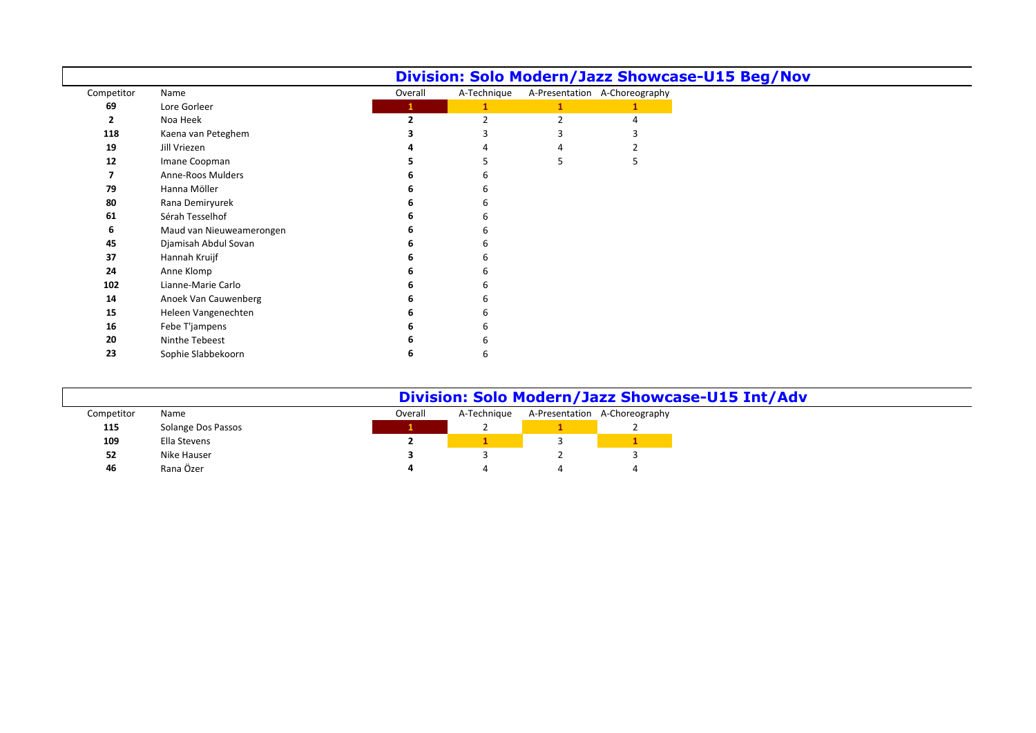|            |                          |              |             | Division: Solo Modern/Jazz Showcase-U15 Beg/Nov |
|------------|--------------------------|--------------|-------------|-------------------------------------------------|
| Competitor | Name                     | Overall      | A-Technique | A-Presentation A-Choreography                   |
| 69         | Lore Gorleer             | $\mathbf{1}$ |             |                                                 |
|            | Noa Heek                 |              |             |                                                 |
| 118        | Kaena van Peteghem       |              |             |                                                 |
| 19         | Jill Vriezen             |              |             |                                                 |
| 12         | Imane Coopman            |              |             |                                                 |
|            | Anne-Roos Mulders        |              |             |                                                 |
| 79         | Hanna Möller             |              |             |                                                 |
| 80         | Rana Demiryurek          |              |             |                                                 |
| 61         | Sérah Tesselhof          |              |             |                                                 |
| 6          | Maud van Nieuweamerongen |              |             |                                                 |
| 45         | Djamisah Abdul Sovan     |              |             |                                                 |
| 37         | Hannah Kruijf            |              |             |                                                 |
| 24         | Anne Klomp               |              |             |                                                 |
| 102        | Lianne-Marie Carlo       |              |             |                                                 |
| 14         | Anoek Van Cauwenberg     |              |             |                                                 |
| 15         | Heleen Vangenechten      |              |             |                                                 |
| 16         | Febe T'jampens           |              |             |                                                 |
| 20         | Ninthe Tebeest           |              |             |                                                 |
| 23         | Sophie Slabbekoorn       |              |             |                                                 |

|            | Division: Solo Modern/Jazz Showcase-U15 Int/Adv |         |             |  |                               |  |  |  |  |  |  |
|------------|-------------------------------------------------|---------|-------------|--|-------------------------------|--|--|--|--|--|--|
| Competitor | Name                                            | Overall | A-Technique |  | A-Presentation A-Choreography |  |  |  |  |  |  |
| 115        | Solange Dos Passos                              |         |             |  |                               |  |  |  |  |  |  |
| 109        | Ella Stevens                                    |         |             |  |                               |  |  |  |  |  |  |
| 52         | Nike Hauser                                     |         |             |  |                               |  |  |  |  |  |  |
| 46         | Rana Özer                                       |         |             |  |                               |  |  |  |  |  |  |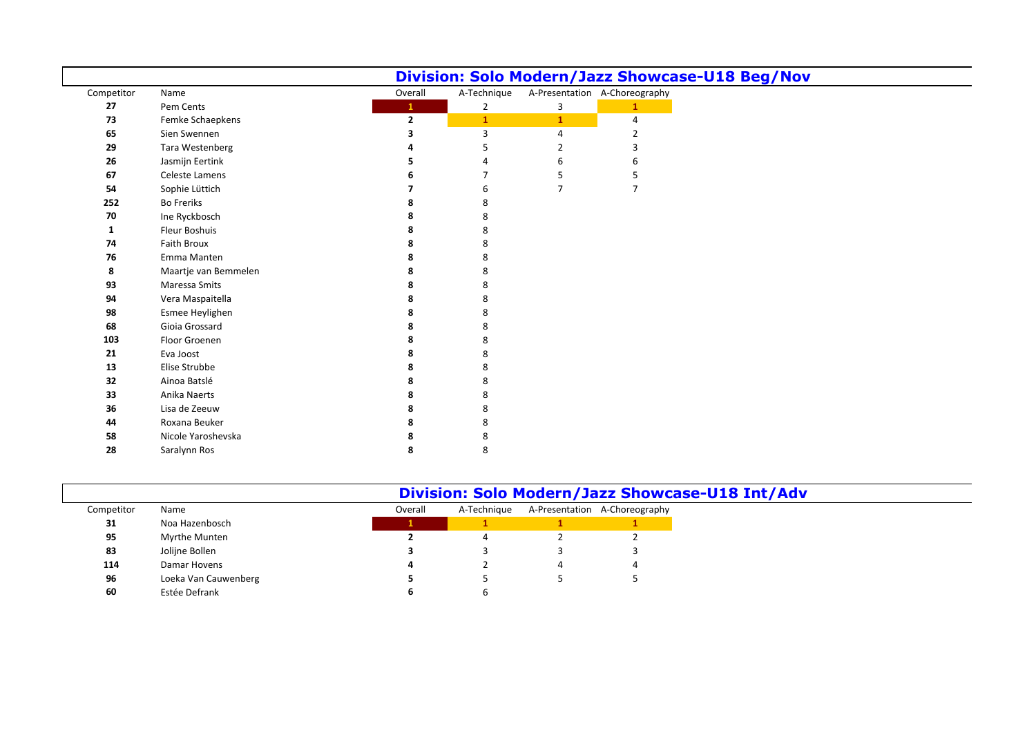|            |                      |              |                |                |                               | Division: Solo Modern/Jazz Showcase-U18 Beg/Nov |  |
|------------|----------------------|--------------|----------------|----------------|-------------------------------|-------------------------------------------------|--|
| Competitor | Name                 | Overall      | A-Technique    |                | A-Presentation A-Choreography |                                                 |  |
| 27         | Pem Cents            | $\mathbf{1}$ | $\overline{2}$ | 3              | $\mathbf{1}$                  |                                                 |  |
| 73         | Femke Schaepkens     | $\mathbf{2}$ | $\mathbf{1}$   | $\mathbf{1}$   | 4                             |                                                 |  |
| 65         | Sien Swennen         | 3            | 3              | 4              | 2                             |                                                 |  |
| 29         | Tara Westenberg      |              | 5              | 2              | 3                             |                                                 |  |
| 26         | Jasmijn Eertink      |              | Δ              | 6              | 6                             |                                                 |  |
| 67         | Celeste Lamens       |              | 7              | 5              | 5                             |                                                 |  |
| 54         | Sophie Lüttich       |              | 6              | $\overline{7}$ | $\overline{7}$                |                                                 |  |
| 252        | <b>Bo Freriks</b>    |              | 8              |                |                               |                                                 |  |
| 70         | Ine Ryckbosch        | 8            | 8              |                |                               |                                                 |  |
| 1          | <b>Fleur Boshuis</b> |              | 8              |                |                               |                                                 |  |
| 74         | <b>Faith Broux</b>   |              | 8              |                |                               |                                                 |  |
| 76         | Emma Manten          |              | 8              |                |                               |                                                 |  |
| 8          | Maartje van Bemmelen | 8            | 8              |                |                               |                                                 |  |
| 93         | Maressa Smits        | 8            | 8              |                |                               |                                                 |  |
| 94         | Vera Maspaitella     |              | 8              |                |                               |                                                 |  |
| 98         | Esmee Heylighen      | 8            | 8              |                |                               |                                                 |  |
| 68         | Gioia Grossard       |              | 8              |                |                               |                                                 |  |
| 103        | Floor Groenen        | 8            | 8              |                |                               |                                                 |  |
| 21         | Eva Joost            | 8            | 8              |                |                               |                                                 |  |
| 13         | Elise Strubbe        |              | 8              |                |                               |                                                 |  |
| 32         | Ainoa Batslé         | 8            | 8              |                |                               |                                                 |  |
| 33         | Anika Naerts         | 8            | 8              |                |                               |                                                 |  |
| 36         | Lisa de Zeeuw        | 8            | 8              |                |                               |                                                 |  |
| 44         | Roxana Beuker        |              | 8              |                |                               |                                                 |  |
| 58         | Nicole Yaroshevska   |              | 8              |                |                               |                                                 |  |
| 28         | Saralynn Ros         | 8            | 8              |                |                               |                                                 |  |

## **Division: Solo Modern/Jazz Showcase-U18 Int/Adv**

|            |                      |         | <b>PIVISION.</b> SOIO MOUCHIT, JAZZ SHOW |                               |
|------------|----------------------|---------|------------------------------------------|-------------------------------|
| Competitor | Name                 | Overall | A-Technique                              | A-Presentation A-Choreography |
| 31         | Noa Hazenbosch       |         |                                          |                               |
| 95         | Myrthe Munten        |         |                                          |                               |
| 83         | Jolijne Bollen       |         |                                          |                               |
| 114        | Damar Hovens         |         |                                          |                               |
| 96         | Loeka Van Cauwenberg |         |                                          |                               |
| 60         | Estée Defrank        |         |                                          |                               |
|            |                      |         |                                          |                               |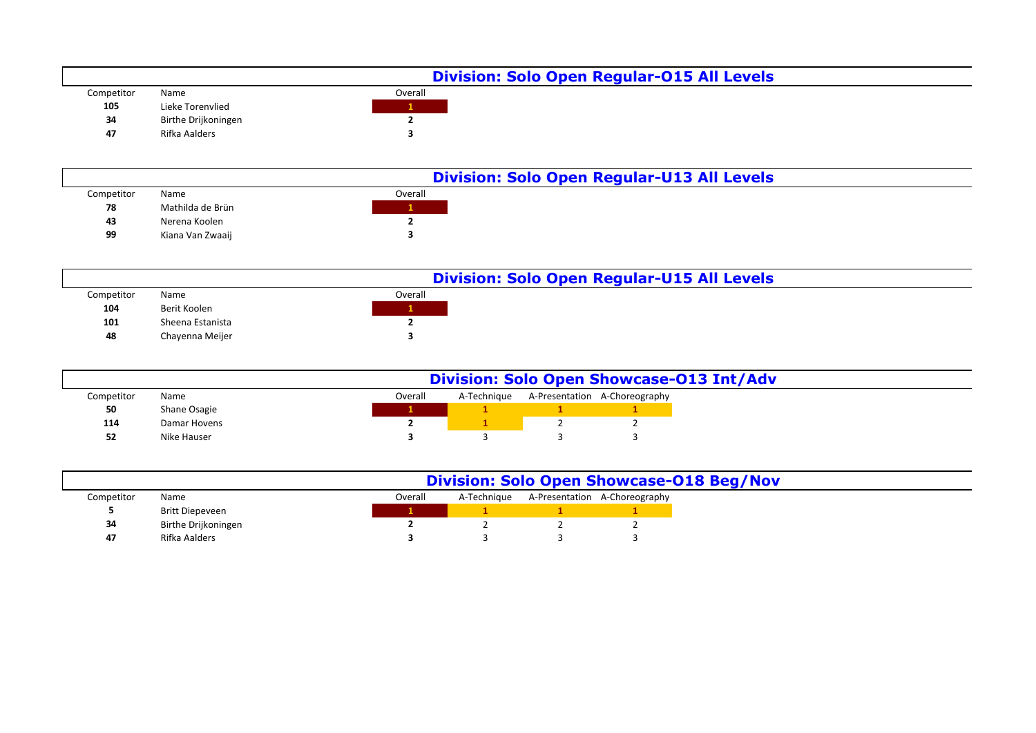|            |                     | <b>Division: Solo Open Regular-015 All Levels</b> |  |
|------------|---------------------|---------------------------------------------------|--|
| Competitor | Name                | Overall                                           |  |
| 105        | Lieke Torenvlied    |                                                   |  |
| 34         | Birthe Drijkoningen |                                                   |  |
| 47         | Rifka Aalders       |                                                   |  |

|            |                  | <b>Division: Solo Open Regular-U13 All Levels</b> |  |
|------------|------------------|---------------------------------------------------|--|
| Competitor | Name             | Overall                                           |  |
| 78         | Mathilda de Brün |                                                   |  |
| 43         | Nerena Koolen    |                                                   |  |
| 99         | Kiana Van Zwaaij |                                                   |  |

|            | <b>Division: Solo Open Regular-U15 All Levels</b> |         |  |  |  |  |  |  |
|------------|---------------------------------------------------|---------|--|--|--|--|--|--|
| Competitor | Name                                              | Overall |  |  |  |  |  |  |
| 104        | Berit Koolen                                      |         |  |  |  |  |  |  |
| 101        | Sheena Estanista                                  |         |  |  |  |  |  |  |
| 48         | Chayenna Meijer                                   |         |  |  |  |  |  |  |

|            |              |         |             | <b>Division: Solo Open Showcase-013 Int/Adv</b> |
|------------|--------------|---------|-------------|-------------------------------------------------|
| Competitor | Name         | Overall | A-Technique | A-Presentation A-Choreography                   |
| 50         | Shane Osagie |         |             |                                                 |
| 114        | Damar Hovens |         |             |                                                 |
| 52         | Nike Hauser  |         |             |                                                 |

|            |                     |         |             | <b>Division: Solo Open Showcase-018 Beg/Nov</b> |
|------------|---------------------|---------|-------------|-------------------------------------------------|
| Competitor | Name                | Overall | A-Technique | A-Presentation A-Choreography                   |
|            | Britt Diepeveen     |         |             |                                                 |
| 34         | Birthe Drijkoningen |         |             |                                                 |
| 47         | Rifka Aalders       |         |             |                                                 |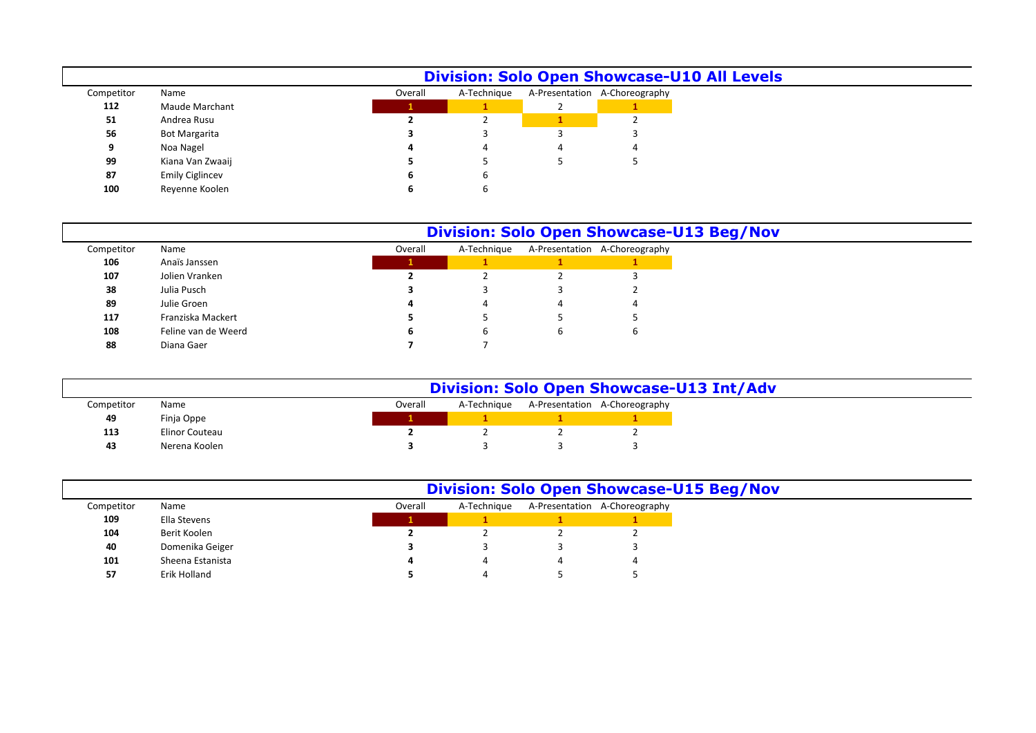|            | <b>Division: Solo Open Showcase-U10 All Levels</b> |  |         |             |  |                               |  |  |  |  |  |  |
|------------|----------------------------------------------------|--|---------|-------------|--|-------------------------------|--|--|--|--|--|--|
| Competitor | Name                                               |  | Overall | A-Technique |  | A-Presentation A-Choreography |  |  |  |  |  |  |
| 112        | Maude Marchant                                     |  |         |             |  |                               |  |  |  |  |  |  |
| 51         | Andrea Rusu                                        |  |         |             |  |                               |  |  |  |  |  |  |
| 56         | <b>Bot Margarita</b>                               |  |         |             |  |                               |  |  |  |  |  |  |
| 9          | Noa Nagel                                          |  |         |             |  | 4                             |  |  |  |  |  |  |
| 99         | Kiana Van Zwaaij                                   |  |         |             |  |                               |  |  |  |  |  |  |
| 87         | <b>Emily Ciglincev</b>                             |  |         | b           |  |                               |  |  |  |  |  |  |
| 100        | Revenne Koolen                                     |  |         |             |  |                               |  |  |  |  |  |  |

|            |                     | <b>Division: Solo Open Showcase-U13 Beg/Nov</b> |         |             |   |                               |  |  |  |  |
|------------|---------------------|-------------------------------------------------|---------|-------------|---|-------------------------------|--|--|--|--|
| Competitor | Name                |                                                 | Overall | A-Technique |   | A-Presentation A-Choreography |  |  |  |  |
| 106        | Anaïs Janssen       |                                                 |         |             |   |                               |  |  |  |  |
| 107        | Jolien Vranken      |                                                 |         |             |   |                               |  |  |  |  |
| 38         | Julia Pusch         |                                                 |         |             |   |                               |  |  |  |  |
| 89         | Julie Groen         |                                                 |         |             |   |                               |  |  |  |  |
| 117        | Franziska Mackert   |                                                 |         |             |   |                               |  |  |  |  |
| 108        | Feline van de Weerd |                                                 |         | b           | b | b                             |  |  |  |  |
| 88         | Diana Gaer          |                                                 |         |             |   |                               |  |  |  |  |

|            | <b>Division: Solo Open Showcase-U13 Int/Adv</b> |  |         |             |  |                               |  |  |  |  |
|------------|-------------------------------------------------|--|---------|-------------|--|-------------------------------|--|--|--|--|
| Competitor | Name                                            |  | Overall | A-Technique |  | A-Presentation A-Choreography |  |  |  |  |
| 49         | Finja Oppe                                      |  |         |             |  |                               |  |  |  |  |
| 113        | Elinor Couteau                                  |  |         |             |  |                               |  |  |  |  |
| 43         | Nerena Koolen                                   |  |         |             |  |                               |  |  |  |  |

|  |  |  | <b>Division: Solo Open Showcase-U15 Beg/Nov</b> |  |  |
|--|--|--|-------------------------------------------------|--|--|
|--|--|--|-------------------------------------------------|--|--|

| Competitor | Name             | Overall        | A-Technique | A-Presentation A-Choreography |
|------------|------------------|----------------|-------------|-------------------------------|
| 109        | Ella Stevens     |                |             |                               |
| 104        | Berit Koolen     |                |             |                               |
| 40         | Domenika Geiger  |                |             |                               |
| 101        | Sheena Estanista | $\overline{a}$ | 4           |                               |
| 57         | Erik Holland     |                | Δ           |                               |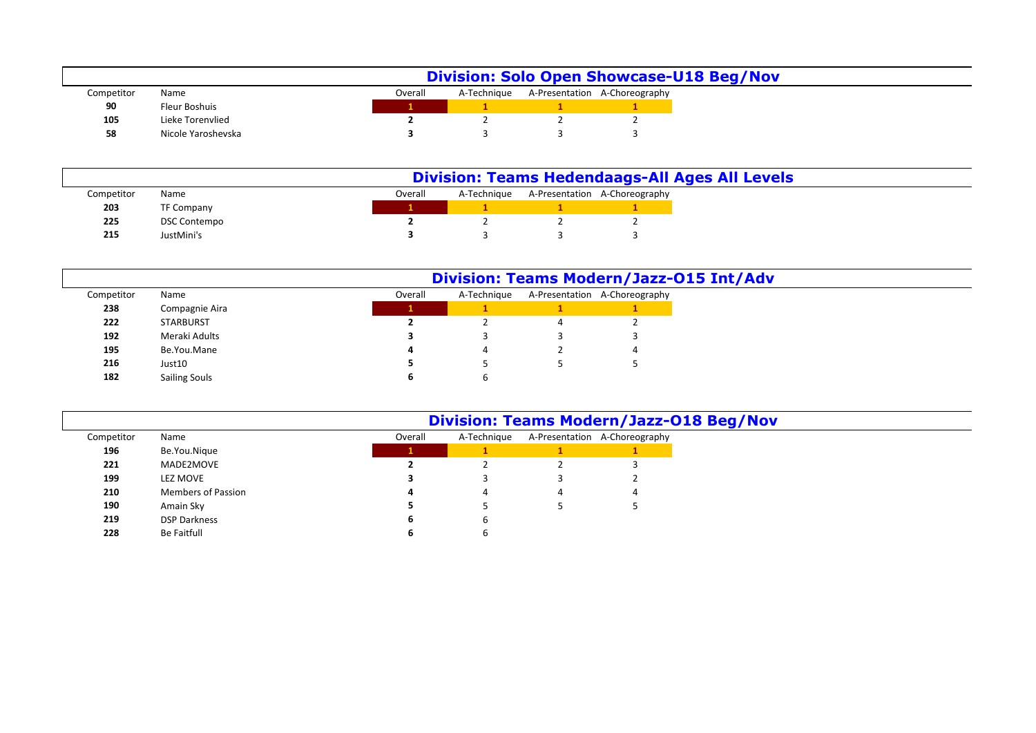|            |                    |         |             | <b>Division: Solo Open Showcase-U18 Beg/Nov</b> |
|------------|--------------------|---------|-------------|-------------------------------------------------|
| Competitor | Name               | Overall | A-Technique | A-Presentation A-Choreography                   |
| 90         | Fleur Boshuis      |         |             |                                                 |
| 105        | Lieke Torenvlied   |         |             |                                                 |
| 58         | Nicole Yaroshevska |         |             |                                                 |

|            |                     |         |             | <b>Division: Teams Hedendaags-All Ages All Levels</b> |
|------------|---------------------|---------|-------------|-------------------------------------------------------|
| Competitor | Name                | Overall | A-Techniaue | A-Presentation A-Choreography                         |
| 203        | TF Company          |         |             |                                                       |
| 225        | <b>DSC Contempo</b> |         |             |                                                       |
| 215        | JustMini's          |         |             |                                                       |

|            |                      |         |             | <b>Division: Teams Modern/Jazz-015 Int/Adv</b> |
|------------|----------------------|---------|-------------|------------------------------------------------|
| Competitor | Name                 | Overall | A-Technique | A-Presentation A-Choreography                  |
| 238        | Compagnie Aira       |         |             |                                                |
| 222        | <b>STARBURST</b>     |         |             |                                                |
| 192        | Meraki Adults        |         |             |                                                |
| 195        | Be.You.Mane          | 4       |             |                                                |
| 216        | Just10               |         |             |                                                |
| 182        | <b>Sailing Souls</b> |         |             |                                                |

|            |                     |         | <b>Division: Teams Modern/Jazz-018 Beg/Nov</b> |   |                               |
|------------|---------------------|---------|------------------------------------------------|---|-------------------------------|
| Competitor | Name                | Overall | A-Technique                                    |   | A-Presentation A-Choreography |
| 196        | Be.You.Nique        |         |                                                |   |                               |
| 221        | MADE2MOVE           |         |                                                |   |                               |
| 199        | LEZ MOVE            |         |                                                |   |                               |
| 210        | Members of Passion  |         | 4                                              | 4 |                               |
| 190        | Amain Sky           |         |                                                |   |                               |
| 219        | <b>DSP Darkness</b> |         | ь                                              |   |                               |
| 228        | Be Faitfull         |         |                                                |   |                               |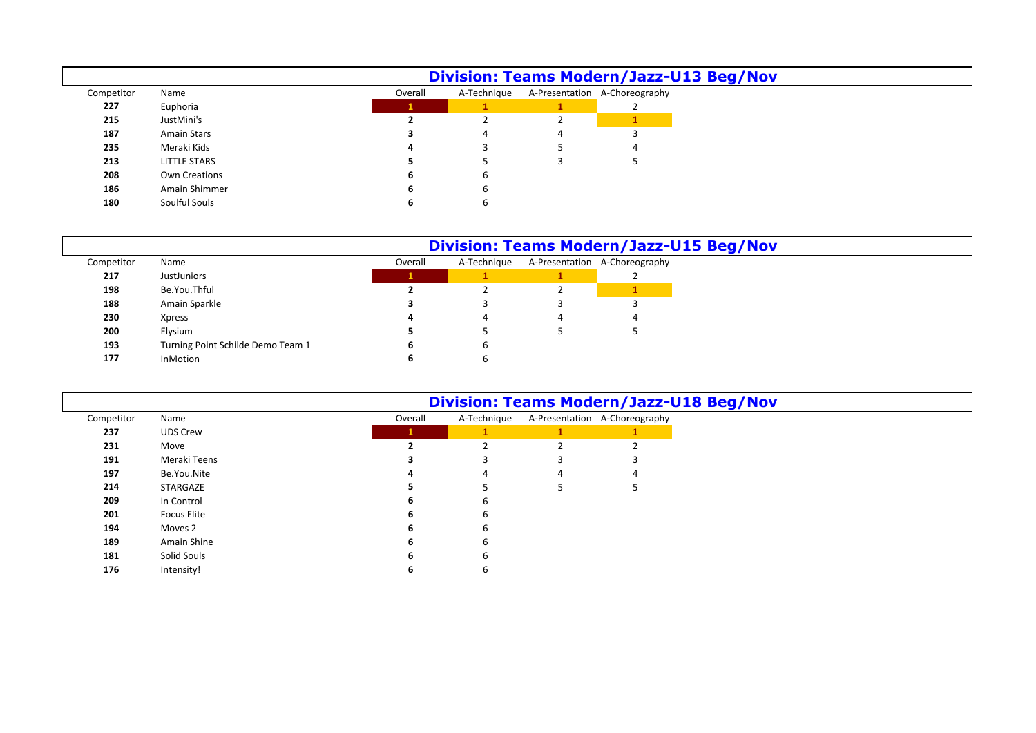|            |               |         | <b>Division: Teams Modern/Jazz-U13 Beg/Nov</b> |                               |
|------------|---------------|---------|------------------------------------------------|-------------------------------|
| Competitor | Name          | Overall | A-Technique                                    | A-Presentation A-Choreography |
| 227        | Euphoria      |         |                                                |                               |
| 215        | JustMini's    |         |                                                |                               |
| 187        | Amain Stars   |         | 4                                              |                               |
| 235        | Meraki Kids   |         |                                                |                               |
| 213        | LITTLE STARS  |         |                                                |                               |
| 208        | Own Creations | ь       |                                                |                               |
| 186        | Amain Shimmer | ь       |                                                |                               |
| 180        | Soulful Souls |         |                                                |                               |

## **Division: Teams Modern/Jazz-U15 Beg/Nov**

|            |                                   | <b>DIVISION: TEAMS MOGETH</b> /Jazz- |             |  |                               |  |  |  |  |  |
|------------|-----------------------------------|--------------------------------------|-------------|--|-------------------------------|--|--|--|--|--|
| Competitor | Name                              | Overall                              | A-Technique |  | A-Presentation A-Choreography |  |  |  |  |  |
| 217        | <b>JustJuniors</b>                |                                      |             |  |                               |  |  |  |  |  |
| 198        | Be.You.Thful                      |                                      |             |  |                               |  |  |  |  |  |
| 188        | Amain Sparkle                     |                                      |             |  |                               |  |  |  |  |  |
| 230        | <b>Xpress</b>                     |                                      |             |  |                               |  |  |  |  |  |
| 200        | Elysium                           |                                      |             |  |                               |  |  |  |  |  |
| 193        | Turning Point Schilde Demo Team 1 |                                      | b           |  |                               |  |  |  |  |  |
| 177        | <b>InMotion</b>                   |                                      |             |  |                               |  |  |  |  |  |
|            |                                   |                                      |             |  |                               |  |  |  |  |  |

Intensity! **6** 6

|            |                 |         | <b>Division: Teams Modern/Jazz-U18 Beg/Nov</b> |   |                               |
|------------|-----------------|---------|------------------------------------------------|---|-------------------------------|
| Competitor | Name            | Overall | A-Technique                                    |   | A-Presentation A-Choreography |
| 237        | <b>UDS Crew</b> |         |                                                |   |                               |
| 231        | Move            |         |                                                |   |                               |
| 191        | Meraki Teens    |         |                                                |   |                               |
| 197        | Be.You.Nite     |         |                                                | 4 |                               |
| 214        | STARGAZE        |         |                                                |   |                               |
| 209        | In Control      | 6       | ь                                              |   |                               |
| 201        | Focus Elite     | h       | ь                                              |   |                               |
| 194        | Moves 2         | 6       | 6                                              |   |                               |
| 189        | Amain Shine     | h       | ь                                              |   |                               |
| 181        | Solid Souls     |         |                                                |   |                               |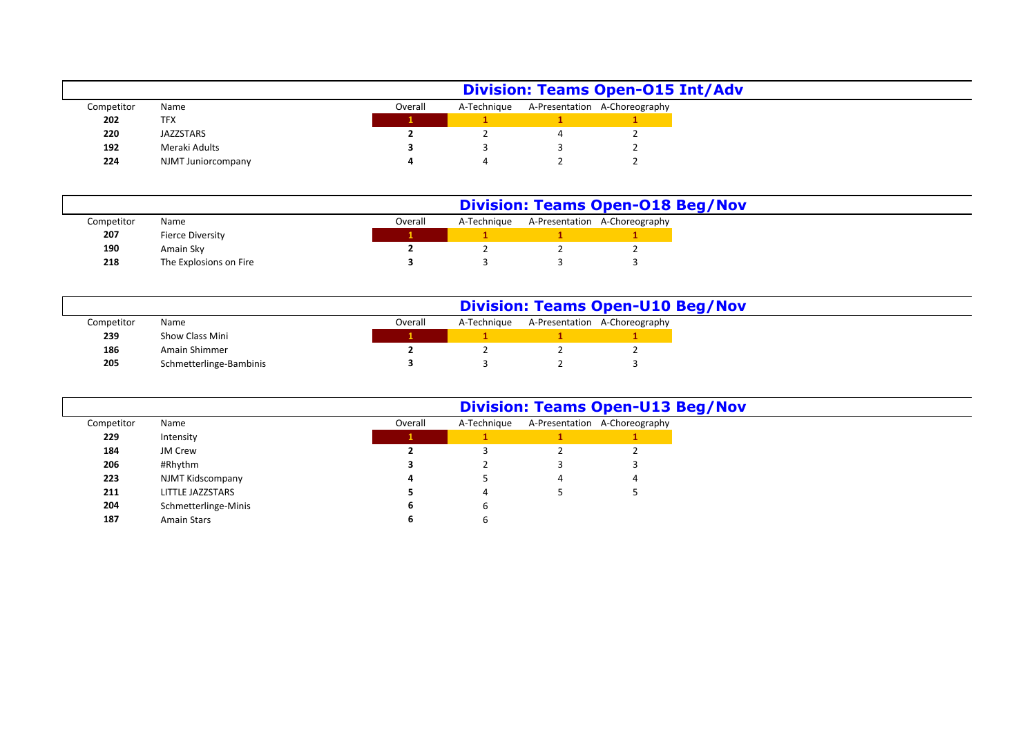|            |                    | <b>Division: Teams Open-015 Int/Adv</b> |  |  |                                           |  |  |  |  |
|------------|--------------------|-----------------------------------------|--|--|-------------------------------------------|--|--|--|--|
| Competitor | Name               | Overall                                 |  |  | A-Technique A-Presentation A-Choreography |  |  |  |  |
| 202        | <b>TFX</b>         |                                         |  |  |                                           |  |  |  |  |
| 220        | JAZZSTARS          |                                         |  |  |                                           |  |  |  |  |
| 192        | Meraki Adults      |                                         |  |  |                                           |  |  |  |  |
| 224        | NJMT Juniorcompany |                                         |  |  |                                           |  |  |  |  |

|            |                         |  |         | <b>Division: Teams Open-018 Beg/Nov</b> |  |                               |  |  |  |  |  |
|------------|-------------------------|--|---------|-----------------------------------------|--|-------------------------------|--|--|--|--|--|
| Competitor | Name                    |  | Overall | A-Technique                             |  | A-Presentation A-Choreography |  |  |  |  |  |
| 207        | <b>Fierce Diversity</b> |  |         |                                         |  |                               |  |  |  |  |  |
| 190        | Amain Sky               |  |         |                                         |  |                               |  |  |  |  |  |
| 218        | The Explosions on Fire  |  |         |                                         |  |                               |  |  |  |  |  |

|            |                         |  |         | <b>Division: Teams Open-U10 Beg/Nov</b> |  |                               |  |  |  |  |  |
|------------|-------------------------|--|---------|-----------------------------------------|--|-------------------------------|--|--|--|--|--|
| Competitor | Name                    |  | Overall | A-Technique                             |  | A-Presentation A-Choreography |  |  |  |  |  |
| 239        | Show Class Mini         |  |         |                                         |  |                               |  |  |  |  |  |
| 186        | Amain Shimmer           |  |         |                                         |  |                               |  |  |  |  |  |
| 205        | Schmetterlinge-Bambinis |  |         |                                         |  |                               |  |  |  |  |  |

|            |                         |         |             | <b>Division: Teams Open-U13 Beg/Nov</b> |
|------------|-------------------------|---------|-------------|-----------------------------------------|
| Competitor | Name                    | Overall | A-Technique | A-Presentation A-Choreography           |
| 229        | Intensity               | ш       |             |                                         |
| 184        | JM Crew                 |         |             |                                         |
| 206        | #Rhythm                 |         |             |                                         |
| 223        | NJMT Kidscompany        |         |             | $\overline{a}$                          |
| 211        | <b>LITTLE JAZZSTARS</b> |         | 4           |                                         |
| 204        | Schmetterlinge-Minis    | ь       | b           |                                         |
| 187        | <b>Amain Stars</b>      |         | b           |                                         |